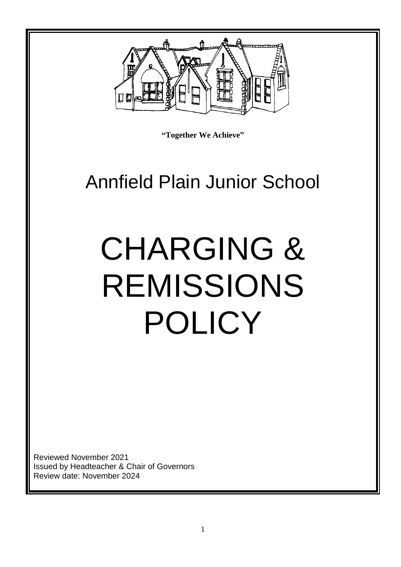

**"Together We Achieve"**

# Annfield Plain Junior School

# CHARGING & REMISSIONS POLICY

Reviewed November 2021 Issued by Headteacher & Chair of Governors Review date: November 2024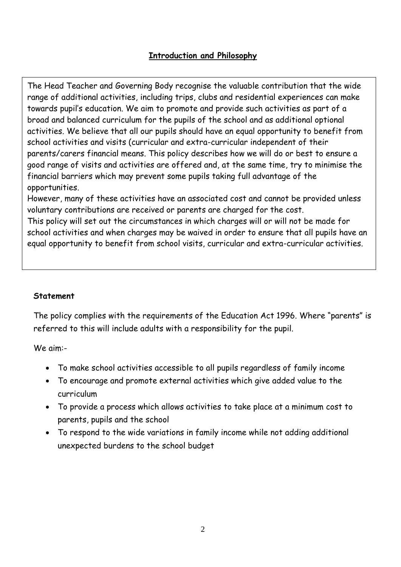#### **Introduction and Philosophy**

The Head Teacher and Governing Body recognise the valuable contribution that the wide range of additional activities, including trips, clubs and residential experiences can make towards pupil's education. We aim to promote and provide such activities as part of a broad and balanced curriculum for the pupils of the school and as additional optional activities. We believe that all our pupils should have an equal opportunity to benefit from school activities and visits (curricular and extra-curricular independent of their parents/carers financial means. This policy describes how we will do or best to ensure a good range of visits and activities are offered and, at the same time, try to minimise the financial barriers which may prevent some pupils taking full advantage of the opportunities.

However, many of these activities have an associated cost and cannot be provided unless voluntary contributions are received or parents are charged for the cost.

This policy will set out the circumstances in which charges will or will not be made for school activities and when charges may be waived in order to ensure that all pupils have an equal opportunity to benefit from school visits, curricular and extra-curricular activities.

#### **Statement**

The policy complies with the requirements of the Education Act 1996. Where "parents" is referred to this will include adults with a responsibility for the pupil.

We aim:-

- To make school activities accessible to all pupils regardless of family income
- To encourage and promote external activities which give added value to the curriculum
- To provide a process which allows activities to take place at a minimum cost to parents, pupils and the school
- To respond to the wide variations in family income while not adding additional unexpected burdens to the school budget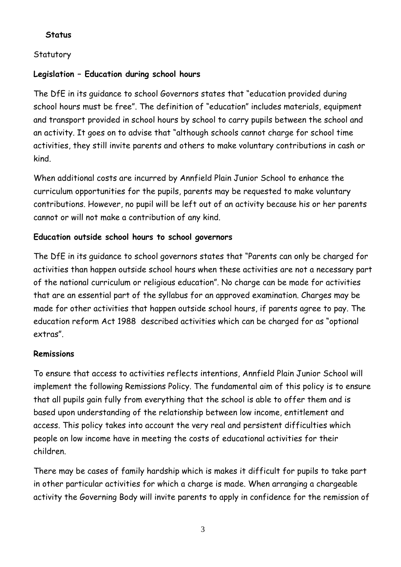#### **Status**

# **Statutory**

## **Legislation – Education during school hours**

The DfE in its guidance to school Governors states that "education provided during school hours must be free". The definition of "education" includes materials, equipment and transport provided in school hours by school to carry pupils between the school and an activity. It goes on to advise that "although schools cannot charge for school time activities, they still invite parents and others to make voluntary contributions in cash or kind.

When additional costs are incurred by Annfield Plain Junior School to enhance the curriculum opportunities for the pupils, parents may be requested to make voluntary contributions. However, no pupil will be left out of an activity because his or her parents cannot or will not make a contribution of any kind.

# **Education outside school hours to school governors**

The DfE in its guidance to school governors states that "Parents can only be charged for activities than happen outside school hours when these activities are not a necessary part of the national curriculum or religious education". No charge can be made for activities that are an essential part of the syllabus for an approved examination. Charges may be made for other activities that happen outside school hours, if parents agree to pay. The education reform Act 1988 described activities which can be charged for as "optional extras".

#### **Remissions**

To ensure that access to activities reflects intentions, Annfield Plain Junior School will implement the following Remissions Policy. The fundamental aim of this policy is to ensure that all pupils gain fully from everything that the school is able to offer them and is based upon understanding of the relationship between low income, entitlement and access. This policy takes into account the very real and persistent difficulties which people on low income have in meeting the costs of educational activities for their children.

There may be cases of family hardship which is makes it difficult for pupils to take part in other particular activities for which a charge is made. When arranging a chargeable activity the Governing Body will invite parents to apply in confidence for the remission of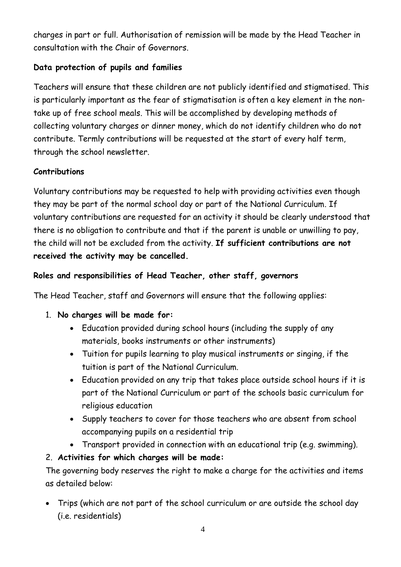charges in part or full. Authorisation of remission will be made by the Head Teacher in consultation with the Chair of Governors.

# **Data protection of pupils and families**

Teachers will ensure that these children are not publicly identified and stigmatised. This is particularly important as the fear of stigmatisation is often a key element in the nontake up of free school meals. This will be accomplished by developing methods of collecting voluntary charges or dinner money, which do not identify children who do not contribute. Termly contributions will be requested at the start of every half term, through the school newsletter.

#### **Contributions**

Voluntary contributions may be requested to help with providing activities even though they may be part of the normal school day or part of the National Curriculum. If voluntary contributions are requested for an activity it should be clearly understood that there is no obligation to contribute and that if the parent is unable or unwilling to pay, the child will not be excluded from the activity. **If sufficient contributions are not received the activity may be cancelled.** 

# **Roles and responsibilities of Head Teacher, other staff, governors**

The Head Teacher, staff and Governors will ensure that the following applies:

- 1. **No charges will be made for:**
	- Education provided during school hours (including the supply of any materials, books instruments or other instruments)
	- Tuition for pupils learning to play musical instruments or singing, if the tuition is part of the National Curriculum.
	- Education provided on any trip that takes place outside school hours if it is part of the National Curriculum or part of the schools basic curriculum for religious education
	- Supply teachers to cover for those teachers who are absent from school accompanying pupils on a residential trip
	- Transport provided in connection with an educational trip (e.g. swimming).

# 2. **Activities for which charges will be made:**

The governing body reserves the right to make a charge for the activities and items as detailed below:

• Trips (which are not part of the school curriculum or are outside the school day (i.e. residentials)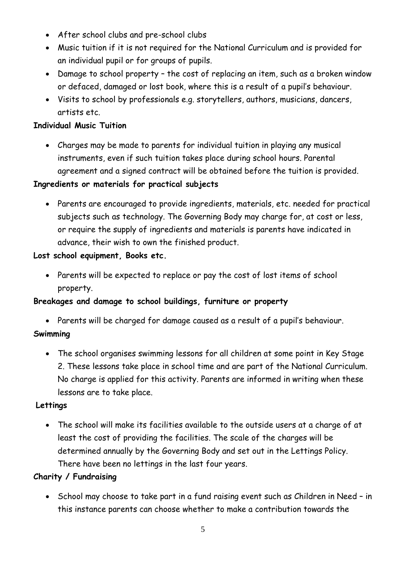- After school clubs and pre-school clubs
- Music tuition if it is not required for the National Curriculum and is provided for an individual pupil or for groups of pupils.
- Damage to school property the cost of replacing an item, such as a broken window or defaced, damaged or lost book, where this is a result of a pupil's behaviour.
- Visits to school by professionals e.g. storytellers, authors, musicians, dancers, artists etc.

#### **Individual Music Tuition**

• Charges may be made to parents for individual tuition in playing any musical instruments, even if such tuition takes place during school hours. Parental agreement and a signed contract will be obtained before the tuition is provided.

#### **Ingredients or materials for practical subjects**

• Parents are encouraged to provide ingredients, materials, etc. needed for practical subjects such as technology. The Governing Body may charge for, at cost or less, or require the supply of ingredients and materials is parents have indicated in advance, their wish to own the finished product.

#### **Lost school equipment, Books etc.**

• Parents will be expected to replace or pay the cost of lost items of school property.

#### **Breakages and damage to school buildings, furniture or property**

• Parents will be charged for damage caused as a result of a pupil's behaviour.

#### **Swimming**

• The school organises swimming lessons for all children at some point in Key Stage 2. These lessons take place in school time and are part of the National Curriculum. No charge is applied for this activity. Parents are informed in writing when these lessons are to take place.

#### **Lettings**

• The school will make its facilities available to the outside users at a charge of at least the cost of providing the facilities. The scale of the charges will be determined annually by the Governing Body and set out in the Lettings Policy. There have been no lettings in the last four years.

#### **Charity / Fundraising**

• School may choose to take part in a fund raising event such as Children in Need – in this instance parents can choose whether to make a contribution towards the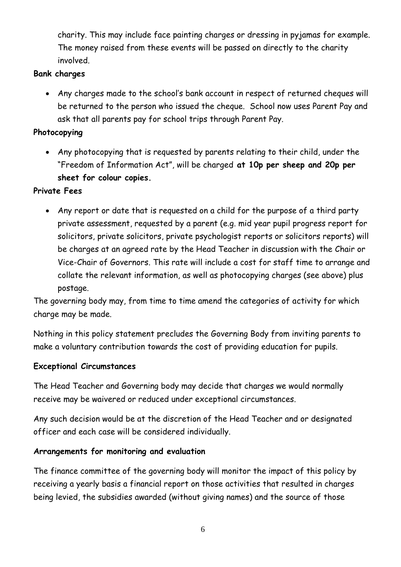charity. This may include face painting charges or dressing in pyjamas for example. The money raised from these events will be passed on directly to the charity involved.

#### **Bank charges**

• Any charges made to the school's bank account in respect of returned cheques will be returned to the person who issued the cheque. School now uses Parent Pay and ask that all parents pay for school trips through Parent Pay.

#### **Photocopying**

• Any photocopying that is requested by parents relating to their child, under the "Freedom of Information Act", will be charged **at 10p per sheep and 20p per sheet for colour copies.** 

#### **Private Fees**

• Any report or date that is requested on a child for the purpose of a third party private assessment, requested by a parent (e.g. mid year pupil progress report for solicitors, private solicitors, private psychologist reports or solicitors reports) will be charges at an agreed rate by the Head Teacher in discussion with the Chair or Vice-Chair of Governors. This rate will include a cost for staff time to arrange and collate the relevant information, as well as photocopying charges (see above) plus postage.

The governing body may, from time to time amend the categories of activity for which charge may be made.

Nothing in this policy statement precludes the Governing Body from inviting parents to make a voluntary contribution towards the cost of providing education for pupils.

#### **Exceptional Circumstances**

The Head Teacher and Governing body may decide that charges we would normally receive may be waivered or reduced under exceptional circumstances.

Any such decision would be at the discretion of the Head Teacher and or designated officer and each case will be considered individually.

#### **Arrangements for monitoring and evaluation**

The finance committee of the governing body will monitor the impact of this policy by receiving a yearly basis a financial report on those activities that resulted in charges being levied, the subsidies awarded (without giving names) and the source of those